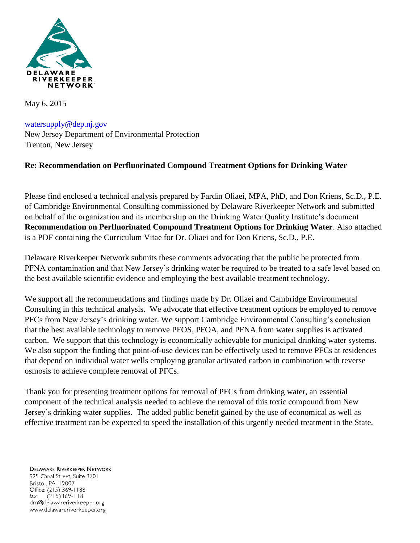

May 6, 2015

[watersupply@dep.nj.gov](mailto:watersupply@dep.nj.gov) New Jersey Department of Environmental Protection Trenton, New Jersey

#### **Re: Recommendation on Perfluorinated Compound Treatment Options for Drinking Water**

Please find enclosed a technical analysis prepared by Fardin Oliaei, MPA, PhD, and Don Kriens, Sc.D., P.E. of Cambridge Environmental Consulting commissioned by Delaware Riverkeeper Network and submitted on behalf of the organization and its membership on the Drinking Water Quality Institute's document **Recommendation on Perfluorinated Compound Treatment Options for Drinking Water**. Also attached is a PDF containing the Curriculum Vitae for Dr. Oliaei and for Don Kriens, Sc.D., P.E.

Delaware Riverkeeper Network submits these comments advocating that the public be protected from PFNA contamination and that New Jersey's drinking water be required to be treated to a safe level based on the best available scientific evidence and employing the best available treatment technology.

We support all the recommendations and findings made by Dr. Oliaei and Cambridge Environmental Consulting in this technical analysis. We advocate that effective treatment options be employed to remove PFCs from New Jersey's drinking water. We support Cambridge Environmental Consulting's conclusion that the best available technology to remove PFOS, PFOA, and PFNA from water supplies is activated carbon. We support that this technology is economically achievable for municipal drinking water systems. We also support the finding that point-of-use devices can be effectively used to remove PFCs at residences that depend on individual water wells employing granular activated carbon in combination with reverse osmosis to achieve complete removal of PFCs.

Thank you for presenting treatment options for removal of PFCs from drinking water, an essential component of the technical analysis needed to achieve the removal of this toxic compound from New Jersey's drinking water supplies. The added public benefit gained by the use of economical as well as effective treatment can be expected to speed the installation of this urgently needed treatment in the State.

**DELAWARE RIVERKEEPER NETWORK** 925 Canal Street, Suite 3701 Bristol, PA 19007 Office: (215) 369-1188  $(215)369 - 1181$ fax: drn@delawareriverkeeper.org www.delawareriverkeeper.org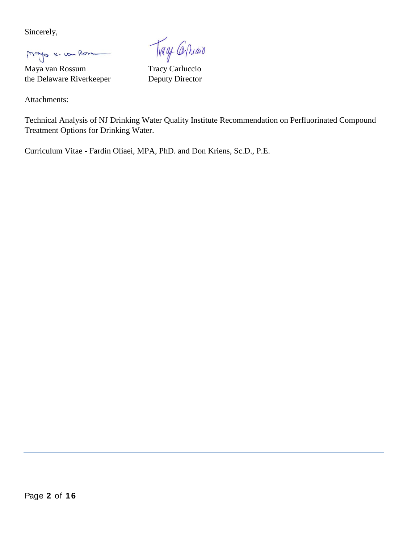Sincerely,

Mayo K. von Rom

Maya van Rossum Tracy Carluccio the Delaware Riverkeeper Deputy Director

Attachments:

Trage Carriago

Technical Analysis of NJ Drinking Water Quality Institute Recommendation on Perfluorinated Compound Treatment Options for Drinking Water.

Curriculum Vitae - Fardin Oliaei, MPA, PhD. and Don Kriens, Sc.D., P.E.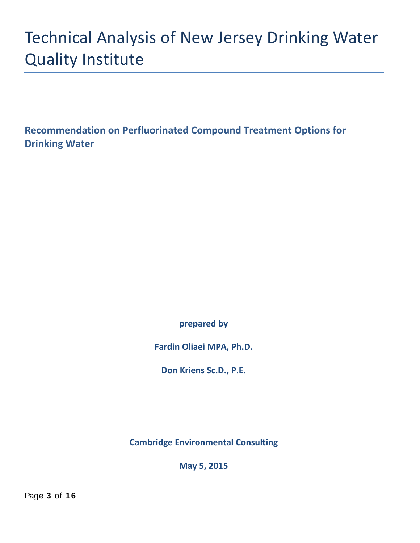# Technical Analysis of New Jersey Drinking Water Quality Institute

**Recommendation on Perfluorinated Compound Treatment Options for Drinking Water**

**prepared by** 

**Fardin Oliaei MPA, Ph.D.** 

**Don Kriens Sc.D., P.E.**

**Cambridge Environmental Consulting**

**May 5, 2015**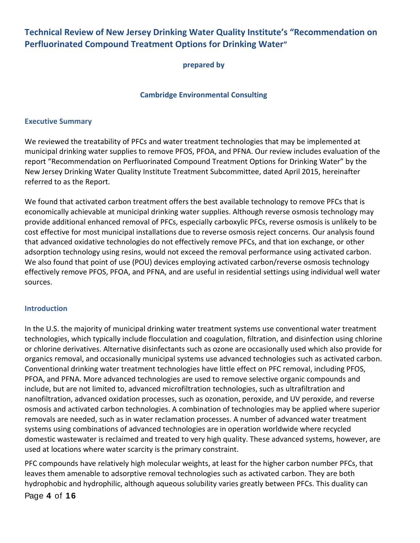# **Technical Review of New Jersey Drinking Water Quality Institute's "Recommendation on Perfluorinated Compound Treatment Options for Drinking Water"**

**prepared by**

#### **Cambridge Environmental Consulting**

#### **Executive Summary**

We reviewed the treatability of PFCs and water treatment technologies that may be implemented at municipal drinking water supplies to remove PFOS, PFOA, and PFNA. Our review includes evaluation of the report "Recommendation on Perfluorinated Compound Treatment Options for Drinking Water" by the New Jersey Drinking Water Quality Institute Treatment Subcommittee, dated April 2015, hereinafter referred to as the Report.

We found that activated carbon treatment offers the best available technology to remove PFCs that is economically achievable at municipal drinking water supplies. Although reverse osmosis technology may provide additional enhanced removal of PFCs, especially carboxylic PFCs, reverse osmosis is unlikely to be cost effective for most municipal installations due to reverse osmosis reject concerns. Our analysis found that advanced oxidative technologies do not effectively remove PFCs, and that ion exchange, or other adsorption technology using resins, would not exceed the removal performance using activated carbon. We also found that point of use (POU) devices employing activated carbon/reverse osmosis technology effectively remove PFOS, PFOA, and PFNA, and are useful in residential settings using individual well water sources.

#### **Introduction**

In the U.S. the majority of municipal drinking water treatment systems use conventional water treatment technologies, which typically include flocculation and coagulation, filtration, and disinfection using chlorine or chlorine derivatives. Alternative disinfectants such as ozone are occasionally used which also provide for organics removal, and occasionally municipal systems use advanced technologies such as activated carbon. Conventional drinking water treatment technologies have little effect on PFC removal, including PFOS, PFOA, and PFNA. More advanced technologies are used to remove selective organic compounds and include, but are not limited to, advanced microfiltration technologies, such as ultrafiltration and nanofiltration, advanced oxidation processes, such as ozonation, peroxide, and UV peroxide, and reverse osmosis and activated carbon technologies. A combination of technologies may be applied where superior removals are needed, such as in water reclamation processes. A number of advanced water treatment systems using combinations of advanced technologies are in operation worldwide where recycled domestic wastewater is reclaimed and treated to very high quality. These advanced systems, however, are used at locations where water scarcity is the primary constraint.

PFC compounds have relatively high molecular weights, at least for the higher carbon number PFCs, that leaves them amenable to adsorptive removal technologies such as activated carbon. They are both hydrophobic and hydrophilic, although aqueous solubility varies greatly between PFCs. This duality can

Page **4** of **1 6**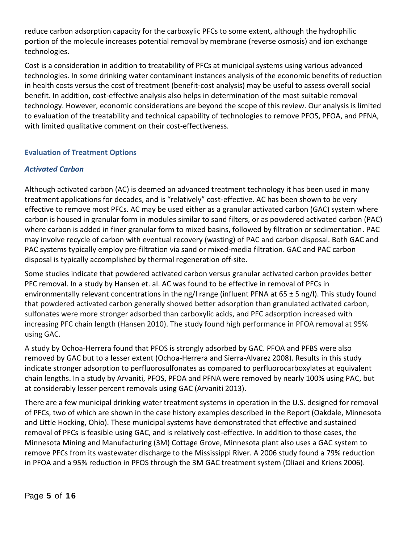reduce carbon adsorption capacity for the carboxylic PFCs to some extent, although the hydrophilic portion of the molecule increases potential removal by membrane (reverse osmosis) and ion exchange technologies.

Cost is a consideration in addition to treatability of PFCs at municipal systems using various advanced technologies. In some drinking water contaminant instances analysis of the economic benefits of reduction in health costs versus the cost of treatment (benefit-cost analysis) may be useful to assess overall social benefit. In addition, cost-effective analysis also helps in determination of the most suitable removal technology. However, economic considerations are beyond the scope of this review. Our analysis is limited to evaluation of the treatability and technical capability of technologies to remove PFOS, PFOA, and PFNA, with limited qualitative comment on their cost-effectiveness.

### **Evaluation of Treatment Options**

#### *Activated Carbon*

Although activated carbon (AC) is deemed an advanced treatment technology it has been used in many treatment applications for decades, and is "relatively" cost-effective. AC has been shown to be very effective to remove most PFCs. AC may be used either as a granular activated carbon (GAC) system where carbon is housed in granular form in modules similar to sand filters, or as powdered activated carbon (PAC) where carbon is added in finer granular form to mixed basins, followed by filtration or sedimentation. PAC may involve recycle of carbon with eventual recovery (wasting) of PAC and carbon disposal. Both GAC and PAC systems typically employ pre-filtration via sand or mixed-media filtration. GAC and PAC carbon disposal is typically accomplished by thermal regeneration off-site.

Some studies indicate that powdered activated carbon versus granular activated carbon provides better PFC removal. In a study by Hansen et. al. AC was found to be effective in removal of PFCs in environmentally relevant concentrations in the ng/l range (influent PFNA at 65  $\pm$  5 ng/l). This study found that powdered activated carbon generally showed better adsorption than granulated activated carbon, sulfonates were more stronger adsorbed than carboxylic acids, and PFC adsorption increased with increasing PFC chain length (Hansen 2010). The study found high performance in PFOA removal at 95% using GAC.

A study by Ochoa-Herrera found that PFOS is strongly adsorbed by GAC. PFOA and PFBS were also removed by GAC but to a lesser extent (Ochoa-Herrera and Sierra-Alvarez 2008). Results in this study indicate stronger adsorption to perfluorosulfonates as compared to perfluorocarboxylates at equivalent chain lengths. In a study by Arvaniti, PFOS, PFOA and PFNA were removed by nearly 100% using PAC, but at considerably lesser percent removals using GAC (Arvaniti 2013).

There are a few municipal drinking water treatment systems in operation in the U.S. designed for removal of PFCs, two of which are shown in the case history examples described in the Report (Oakdale, Minnesota and Little Hocking, Ohio). These municipal systems have demonstrated that effective and sustained removal of PFCs is feasible using GAC, and is relatively cost-effective. In addition to those cases, the Minnesota Mining and Manufacturing (3M) Cottage Grove, Minnesota plant also uses a GAC system to remove PFCs from its wastewater discharge to the Mississippi River. A 2006 study found a 79% reduction in PFOA and a 95% reduction in PFOS through the 3M GAC treatment system (Oliaei and Kriens 2006).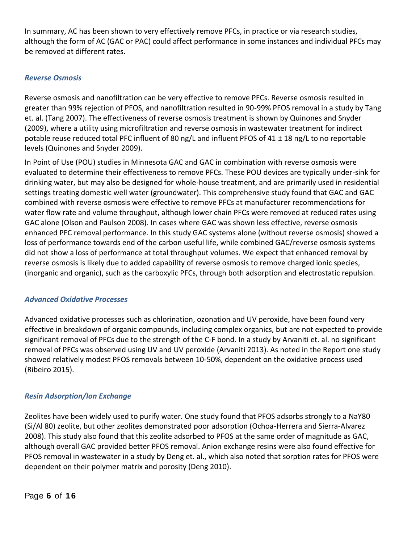In summary, AC has been shown to very effectively remove PFCs, in practice or via research studies, although the form of AC (GAC or PAC) could affect performance in some instances and individual PFCs may be removed at different rates.

#### *Reverse Osmosis*

Reverse osmosis and nanofiltration can be very effective to remove PFCs. Reverse osmosis resulted in greater than 99% rejection of PFOS, and nanofiltration resulted in 90-99% PFOS removal in a study by Tang et. al. (Tang 2007). The effectiveness of reverse osmosis treatment is shown by Quinones and Snyder (2009), where a utility using microfiltration and reverse osmosis in wastewater treatment for indirect potable reuse reduced total PFC influent of 80 ng/L and influent PFOS of 41 ± 18 ng/L to no reportable levels (Quinones and Snyder 2009).

In Point of Use (POU) studies in Minnesota GAC and GAC in combination with reverse osmosis were evaluated to determine their effectiveness to remove PFCs. These POU devices are typically under-sink for drinking water, but may also be designed for whole-house treatment, and are primarily used in residential settings treating domestic well water (groundwater). This comprehensive study found that GAC and GAC combined with reverse osmosis were effective to remove PFCs at manufacturer recommendations for water flow rate and volume throughput, although lower chain PFCs were removed at reduced rates using GAC alone (Olson and Paulson 2008). In cases where GAC was shown less effective, reverse osmosis enhanced PFC removal performance. In this study GAC systems alone (without reverse osmosis) showed a loss of performance towards end of the carbon useful life, while combined GAC/reverse osmosis systems did not show a loss of performance at total throughput volumes. We expect that enhanced removal by reverse osmosis is likely due to added capability of reverse osmosis to remove charged ionic species, (inorganic and organic), such as the carboxylic PFCs, through both adsorption and electrostatic repulsion.

#### *Advanced Oxidative Processes*

Advanced oxidative processes such as chlorination, ozonation and UV peroxide, have been found very effective in breakdown of organic compounds, including complex organics, but are not expected to provide significant removal of PFCs due to the strength of the C-F bond. In a study by Arvaniti et. al. no significant removal of PFCs was observed using UV and UV peroxide (Arvaniti 2013). As noted in the Report one study showed relatively modest PFOS removals between 10-50%, dependent on the oxidative process used (Ribeiro 2015).

#### *Resin Adsorption/Ion Exchange*

Zeolites have been widely used to purify water. One study found that PFOS adsorbs strongly to a NaY80 (Si/Al 80) zeolite, but other zeolites demonstrated poor adsorption (Ochoa-Herrera and Sierra-Alvarez 2008). This study also found that this zeolite adsorbed to PFOS at the same order of magnitude as GAC, although overall GAC provided better PFOS removal. Anion exchange resins were also found effective for PFOS removal in wastewater in a study by Deng et. al., which also noted that sorption rates for PFOS were dependent on their polymer matrix and porosity (Deng 2010).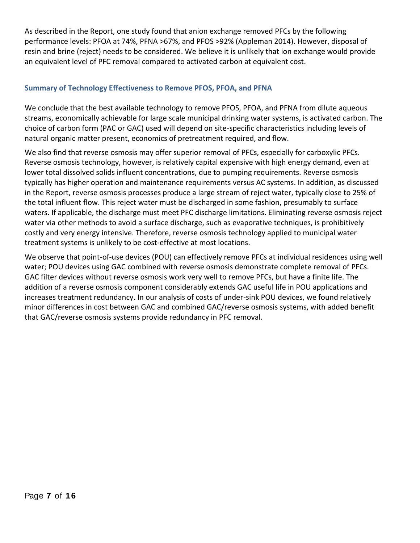As described in the Report, one study found that anion exchange removed PFCs by the following performance levels: PFOA at 74%, PFNA >67%, and PFOS >92% (Appleman 2014). However, disposal of resin and brine (reject) needs to be considered. We believe it is unlikely that ion exchange would provide an equivalent level of PFC removal compared to activated carbon at equivalent cost.

#### **Summary of Technology Effectiveness to Remove PFOS, PFOA, and PFNA**

We conclude that the best available technology to remove PFOS, PFOA, and PFNA from dilute aqueous streams, economically achievable for large scale municipal drinking water systems, is activated carbon. The choice of carbon form (PAC or GAC) used will depend on site-specific characteristics including levels of natural organic matter present, economics of pretreatment required, and flow.

We also find that reverse osmosis may offer superior removal of PFCs, especially for carboxylic PFCs. Reverse osmosis technology, however, is relatively capital expensive with high energy demand, even at lower total dissolved solids influent concentrations, due to pumping requirements. Reverse osmosis typically has higher operation and maintenance requirements versus AC systems. In addition, as discussed in the Report, reverse osmosis processes produce a large stream of reject water, typically close to 25% of the total influent flow. This reject water must be discharged in some fashion, presumably to surface waters. If applicable, the discharge must meet PFC discharge limitations. Eliminating reverse osmosis reject water via other methods to avoid a surface discharge, such as evaporative techniques, is prohibitively costly and very energy intensive. Therefore, reverse osmosis technology applied to municipal water treatment systems is unlikely to be cost-effective at most locations.

We observe that point-of-use devices (POU) can effectively remove PFCs at individual residences using well water; POU devices using GAC combined with reverse osmosis demonstrate complete removal of PFCs. GAC filter devices without reverse osmosis work very well to remove PFCs, but have a finite life. The addition of a reverse osmosis component considerably extends GAC useful life in POU applications and increases treatment redundancy. In our analysis of costs of under-sink POU devices, we found relatively minor differences in cost between GAC and combined GAC/reverse osmosis systems, with added benefit that GAC/reverse osmosis systems provide redundancy in PFC removal.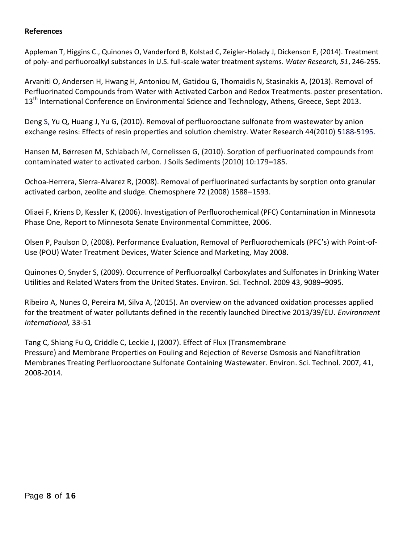#### **References**

Appleman T, Higgins C., Quinones O, Vanderford B, Kolstad C, Zeigler-Holady J, Dickenson E, (2014). Treatment of poly- and perfluoroalkyl substances in U.S. full-scale water treatment systems. *Water Research, 51*, 246-255.

Arvaniti O, Andersen H, Hwang H, Antoniou M, Gatidou G, Thomaidis N, Stasinakis A, (2013). Removal of Perfluorinated Compounds from Water with Activated Carbon and Redox Treatments. poster presentation. 13<sup>th</sup> International Conference on Environmental Science and Technology, Athens, Greece, Sept 2013.

Deng S, Yu Q, Huang J, Yu G, (2010). Removal of perfluorooctane sulfonate from wastewater by anion exchange resins: Effects of resin properties and solution chemistry. Water Research 44(2010) 5188-5195.

Hansen M, Børresen M, Schlabach M, Cornelissen G, (2010). Sorption of perfluorinated compounds from contaminated water to activated carbon. J Soils Sediments (2010) 10:179**–**185.

Ochoa-Herrera, Sierra-Alvarez R, (2008). Removal of perfluorinated surfactants by sorption onto granular activated carbon, zeolite and sludge. Chemosphere 72 (2008) 1588–1593.

Oliaei F, Kriens D, Kessler K, (2006). Investigation of Perfluorochemical (PFC) Contamination in Minnesota Phase One, Report to Minnesota Senate Environmental Committee, 2006.

Olsen P, Paulson D, (2008). Performance Evaluation, Removal of Perfluorochemicals (PFC's) with Point-of-Use (POU) Water Treatment Devices, Water Science and Marketing, May 2008.

Quinones O, Snyder S, (2009). Occurrence of Perfluoroalkyl Carboxylates and Sulfonates in Drinking Water Utilities and Related Waters from the United States. Environ. Sci. Technol. 2009 43, 9089–9095.

Ribeiro A, Nunes O, Pereira M, Silva A, (2015). An overview on the advanced oxidation processes applied for the treatment of water pollutants defined in the recently launched Directive 2013/39/EU. *Environment International,* 33-51

Tang C, Shiang Fu Q, Criddle C, Leckie J, (2007). Effect of Flux (Transmembrane Pressure) and Membrane Properties on Fouling and Rejection of Reverse Osmosis and Nanofiltration Membranes Treating Perfluorooctane Sulfonate Containing Wastewater. Environ. Sci. Technol. 2007, 41, 2008**-**2014.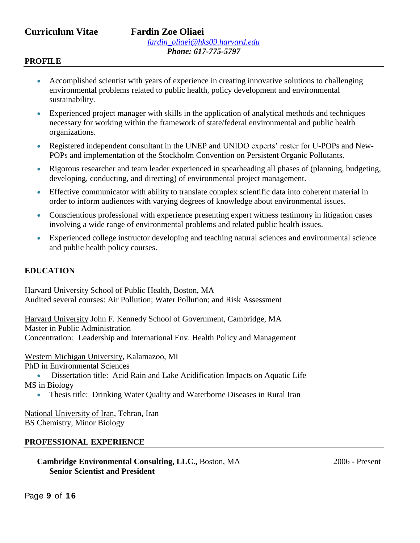# **Curriculum Vitae Fardin Zoe Oliaei**

#### **PROFILE**

- Accomplished scientist with years of experience in creating innovative solutions to challenging environmental problems related to public health, policy development and environmental sustainability.
- Experienced project manager with skills in the application of analytical methods and techniques necessary for working within the framework of state/federal environmental and public health organizations.
- Registered independent consultant in the UNEP and UNIDO experts' roster for U-POPs and New-POPs and implementation of the Stockholm Convention on Persistent Organic Pollutants.
- Rigorous researcher and team leader experienced in spearheading all phases of (planning, budgeting, developing, conducting, and directing) of environmental project management.
- Effective communicator with ability to translate complex scientific data into coherent material in order to inform audiences with varying degrees of knowledge about environmental issues.
- Conscientious professional with experience presenting expert witness testimony in litigation cases involving a wide range of environmental problems and related public health issues.
- Experienced college instructor developing and teaching natural sciences and environmental science and public health policy courses.

#### **EDUCATION**

Harvard University School of Public Health, Boston, MA Audited several courses: Air Pollution; Water Pollution; and Risk Assessment

Harvard University John F. Kennedy School of Government, Cambridge, MA Master in Public Administration Concentration*:* Leadership and International Env. Health Policy and Management

Western Michigan University, Kalamazoo, MI

PhD in Environmental Sciences

 Dissertation title: Acid Rain and Lake Acidification Impacts on Aquatic Life MS in Biology

• Thesis title: Drinking Water Quality and Waterborne Diseases in Rural Iran

National University of Iran, Tehran, Iran BS Chemistry, Minor Biology

#### **PROFESSIONAL EXPERIENCE**

**Cambridge Environmental Consulting, LLC., Boston, MA 2006 - Present Senior Scientist and President** 

Page **9** of **1 6**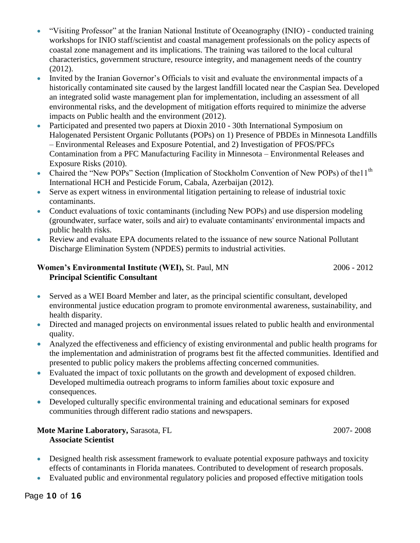- "Visiting Professor" at the Iranian National Institute of Oceanography (INIO) conducted training workshops for INIO staff/scientist and coastal management professionals on the policy aspects of coastal zone management and its implications. The training was tailored to the local cultural characteristics, government structure, resource integrity, and management needs of the country (2012).
- Invited by the Iranian Governor's Officials to visit and evaluate the environmental impacts of a historically contaminated site caused by the largest landfill located near the Caspian Sea. Developed an integrated solid waste management plan for implementation, including an assessment of all environmental risks, and the development of mitigation efforts required to minimize the adverse impacts on Public health and the environment (2012).
- Participated and presented two papers at Dioxin 2010 30th International Symposium on Halogenated Persistent Organic Pollutants (POPs) on 1) Presence of PBDEs in Minnesota Landfills – Environmental Releases and Exposure Potential, and 2) Investigation of PFOS/PFCs Contamination from a PFC Manufacturing Facility in Minnesota – Environmental Releases and Exposure Risks (2010).
- Chaired the "New POPs" Section (Implication of Stockholm Convention of New POPs) of the 11<sup>th</sup> International HCH and Pesticide Forum, Cabala, Azerbaijan (2012).
- Serve as expert witness in environmental litigation pertaining to release of industrial toxic contaminants.
- Conduct evaluations of toxic contaminants (including New POPs) and use dispersion modeling (groundwater, surface water, soils and air) to evaluate contaminants' environmental impacts and public health risks.
- Review and evaluate EPA documents related to the issuance of new source National Pollutant Discharge Elimination System (NPDES) permits to industrial activities.

### **Women's Environmental Institute (WEI),** St. Paul, MN 2006 - 2012 **Principal Scientific Consultant**

- Served as a WEI Board Member and later, as the principal scientific consultant, developed environmental justice education program to promote environmental awareness, sustainability, and health disparity.
- Directed and managed projects on environmental issues related to public health and environmental quality.
- Analyzed the effectiveness and efficiency of existing environmental and public health programs for the implementation and administration of programs best fit the affected communities. Identified and presented to public policy makers the problems affecting concerned communities.
- Evaluated the impact of toxic pollutants on the growth and development of exposed children. Developed multimedia outreach programs to inform families about toxic exposure and consequences.
- Developed culturally specific environmental training and educational seminars for exposed communities through different radio stations and newspapers.

#### **Mote Marine Laboratory, Sarasota, FL 2007-2008 Associate Scientist**

- Designed health risk assessment framework to evaluate potential exposure pathways and toxicity effects of contaminants in Florida manatees. Contributed to development of research proposals.
- Evaluated public and environmental regulatory policies and proposed effective mitigation tools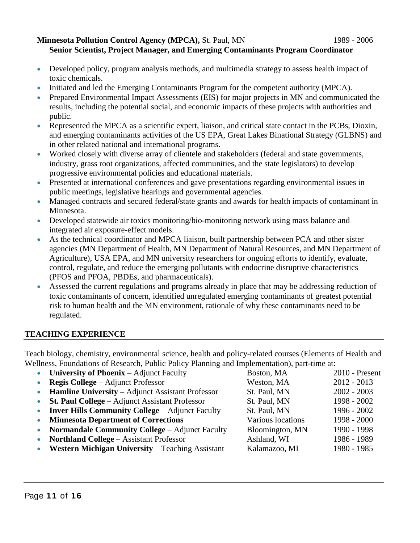#### **Minnesota Pollution Control Agency (MPCA), St. Paul, MN 1989 - 2006 Senior Scientist, Project Manager, and Emerging Contaminants Program Coordinator**

- Developed policy, program analysis methods, and multimedia strategy to assess health impact of toxic chemicals.
- Initiated and led the Emerging Contaminants Program for the competent authority (MPCA).
- Prepared Environmental Impact Assessments (EIS) for major projects in MN and communicated the results, including the potential social, and economic impacts of these projects with authorities and public.
- Represented the MPCA as a scientific expert, liaison, and critical state contact in the PCBs, Dioxin, and emerging contaminants activities of the US EPA, Great Lakes Binational Strategy (GLBNS) and in other related national and international programs.
- Worked closely with diverse array of clientele and stakeholders (federal and state governments, industry, grass root organizations, affected communities, and the state legislators) to develop progressive environmental policies and educational materials.
- Presented at international conferences and gave presentations regarding environmental issues in public meetings, legislative hearings and governmental agencies.
- Managed contracts and secured federal/state grants and awards for health impacts of contaminant in Minnesota.
- Developed statewide air toxics monitoring/bio-monitoring network using mass balance and integrated air exposure-effect models.
- As the technical coordinator and MPCA liaison, built partnership between PCA and other sister agencies (MN Department of Health, MN Department of Natural Resources, and MN Department of Agriculture), USA EPA, and MN university researchers for ongoing efforts to identify, evaluate, control, regulate, and reduce the emerging pollutants with endocrine disruptive characteristics (PFOS and PFOA, PBDEs, and pharmaceuticals).
- Assessed the current regulations and programs already in place that may be addressing reduction of toxic contaminants of concern, identified unregulated emerging contaminants of greatest potential risk to human health and the MN environment, rationale of why these contaminants need to be regulated.

# **TEACHING EXPERIENCE**

Teach biology, chemistry, environmental science, health and policy-related courses (Elements of Health and Wellness, Foundations of Research, Public Policy Planning and Implementation), part-time at:

| $\bullet$ | <b>University of Phoenix</b> – Adjunct Faculty          | Boston, MA        | 2010 - Present |
|-----------|---------------------------------------------------------|-------------------|----------------|
| $\bullet$ | <b>Regis College</b> – Adjunct Professor                | Weston, MA        | $2012 - 2013$  |
|           | <b>Hamline University – Adjunct Assistant Professor</b> | St. Paul, MN      | $2002 - 2003$  |
| $\bullet$ | St. Paul College – Adjunct Assistant Professor          | St. Paul, MN      | 1998 - 2002    |
| $\bullet$ | <b>Inver Hills Community College – Adjunct Faculty</b>  | St. Paul, MN      | 1996 - 2002    |
| $\bullet$ | <b>Minnesota Department of Corrections</b>              | Various locations | 1998 - 2000    |
| $\bullet$ | <b>Normandale Community College – Adjunct Faculty</b>   | Bloomington, MN   | 1990 - 1998    |
| $\bullet$ | <b>Northland College – Assistant Professor</b>          | Ashland, WI       | 1986 - 1989    |
| $\bullet$ | <b>Western Michigan University</b> – Teaching Assistant | Kalamazoo, MI     | 1980 - 1985    |
|           |                                                         |                   |                |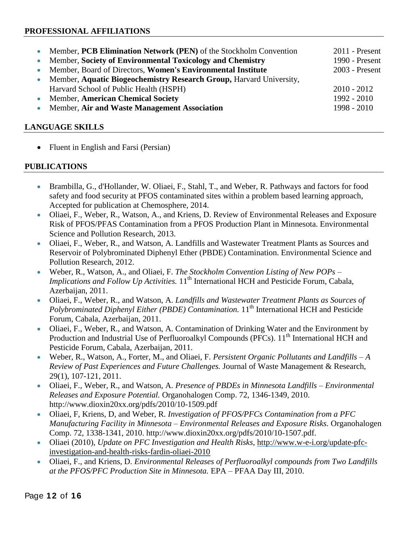#### **PROFESSIONAL AFFILIATIONS**

| • Member, PCB Elimination Network (PEN) of the Stockholm Convention   | $2011$ - Present |
|-----------------------------------------------------------------------|------------------|
| • Member, Society of Environmental Toxicology and Chemistry           | 1990 - Present   |
| • Member, Board of Directors, Women's Environmental Institute         | 2003 - Present   |
| • Member, Aquatic Biogeochemistry Research Group, Harvard University, |                  |
| Harvard School of Public Health (HSPH)                                | $2010 - 2012$    |
| • Member, American Chemical Society                                   | $1992 - 2010$    |
| • Member, Air and Waste Management Association                        | $1998 - 2010$    |
|                                                                       |                  |

#### **LANGUAGE SKILLS**

• Fluent in English and Farsi (Persian)

### **PUBLICATIONS**

- Brambilla, G., d'Hollander, W. Oliaei, F., Stahl, T., and Weber, R. Pathways and factors for food safety and food security at PFOS contaminated sites within a problem based learning approach, Accepted for publication at Chemosphere, 2014.
- Oliaei, F., Weber, R., Watson, A., and Kriens, D. Review of Environmental Releases and Exposure Risk of PFOS/PFAS Contamination from a PFOS Production Plant in Minnesota. Environmental Science and Pollution Research, 2013.
- Oliaei, F., Weber, R., and Watson, A. Landfills and Wastewater Treatment Plants as Sources and Reservoir of Polybrominated Diphenyl Ether (PBDE) Contamination. Environmental Science and Pollution Research, 2012.
- Weber, R., Watson, A., and Oliaei, F. *The Stockholm Convention Listing of New POPs – Implications and Follow Up Activities.* 11<sup>th</sup> International HCH and Pesticide Forum, Cabala, Azerbaijan, 2011.
- Oliaei, F., Weber, R., and Watson, A. *Landfills and Wastewater Treatment Plants as Sources of*  Polybrominated Diphenyl Either (PBDE) Contamination. 11<sup>th</sup> International HCH and Pesticide Forum, Cabala, Azerbaijan, 2011.
- Oliaei, F., Weber, R., and Watson, A. Contamination of Drinking Water and the Environment by Production and Industrial Use of Perfluoroalkyl Compounds (PFCs). 11<sup>th</sup> International HCH and Pesticide Forum, Cabala, Azerbaijan, 2011.
- Weber, R., Watson, A., Forter, M., and Oliaei, F. *Persistent Organic Pollutants and Landfills – A Review of Past Experiences and Future Challenges.* Journal of Waste Management & Research, 29(1), 107-121, 2011.
- Oliaei, F., Weber, R., and Watson, A. *Presence of PBDEs in Minnesota Landfills – Environmental Releases and Exposure Potential.* Organohalogen Comp. 72, 1346-1349, 2010. http://www.dioxin20xx.org/pdfs/2010/10-1509.pdf
- Oliaei, F, Kriens, D, and Weber, R. *Investigation of PFOS/PFCs Contamination from a PFC Manufacturing Facility in Minnesota – Environmental Releases and Exposure Risks.* Organohalogen Comp. 72, 1338-1341, 2010. http://www.dioxin20xx.org/pdfs/2010/10-1507.pdf.
- Oliaei (2010), *Update on PFC Investigation and Health Risks,* [http://www.w-e-i.org/update-pfc](http://www.w-e-i.org/update-pfc-investigation-and-health-risks-fardin-oliaei-2010)[investigation-and-health-risks-fardin-oliaei-2010](http://www.w-e-i.org/update-pfc-investigation-and-health-risks-fardin-oliaei-2010)
- Oliaei, F., and Kriens, D. *Environmental Releases of Perfluoroalkyl compounds from Two Landfills at the PFOS/PFC Production Site in Minnesota.* EPA – PFAA Day III, 2010.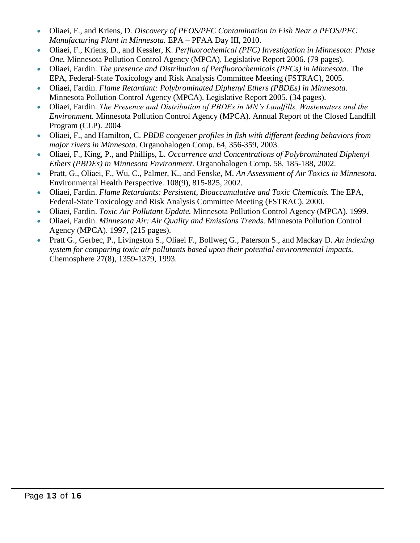- Oliaei, F., and Kriens, D. *Discovery of PFOS/PFC Contamination in Fish Near a PFOS/PFC Manufacturing Plant in Minnesota.* EPA – PFAA Day III, 2010.
- Oliaei, F., Kriens, D., and Kessler, K. *Perfluorochemical (PFC) Investigation in Minnesota: Phase One.* Minnesota Pollution Control Agency (MPCA). Legislative Report 2006. (79 pages).
- Oliaei, Fardin. *The presence and Distribution of Perfluorochemicals (PFCs) in Minnesota.* The EPA, Federal-State Toxicology and Risk Analysis Committee Meeting (FSTRAC), 2005.
- Oliaei, Fardin. *Flame Retardant: Polybrominated Diphenyl Ethers (PBDEs) in Minnesota.*  Minnesota Pollution Control Agency (MPCA). Legislative Report 2005. (34 pages).
- Oliaei, Fardin. *The Presence and Distribution of PBDEs in MN's Landfills, Wastewaters and the Environment.* Minnesota Pollution Control Agency (MPCA). Annual Report of the Closed Landfill Program (CLP). 2004
- Oliaei, F., and Hamilton, C. *PBDE congener profiles in fish with different feeding behaviors from major rivers in Minnesota.* Organohalogen Comp. 64, 356-359, 2003.
- Oliaei, F., King, P., and Phillips, L. *Occurrence and Concentrations of Polybrominated Diphenyl Ethers (PBDEs) in Minnesota Environment.* Organohalogen Comp. 58, 185-188, 2002.
- Pratt, G., Oliaei, F., Wu, C., Palmer, K., and Fenske, M. *An Assessment of Air Toxics in Minnesota.*  Environmental Health Perspective. 108(9), 815-825, 2002.
- Oliaei, Fardin. *Flame Retardants: Persistent, Bioaccumulative and Toxic Chemicals.* The EPA, Federal-State Toxicology and Risk Analysis Committee Meeting (FSTRAC). 2000.
- Oliaei, Fardin. *Toxic Air Pollutant Update.* Minnesota Pollution Control Agency (MPCA). 1999.
- Oliaei, Fardin. *Minnesota Air: Air Quality and Emissions Trends.* Minnesota Pollution Control Agency (MPCA). 1997, (215 pages).
- Pratt G., Gerbec, P., Livingston S., Oliaei F., Bollweg G., Paterson S., and Mackay D. *An indexing system for comparing toxic air pollutants based upon their potential environmental impacts.*  Chemosphere 27(8), 1359-1379, 1993.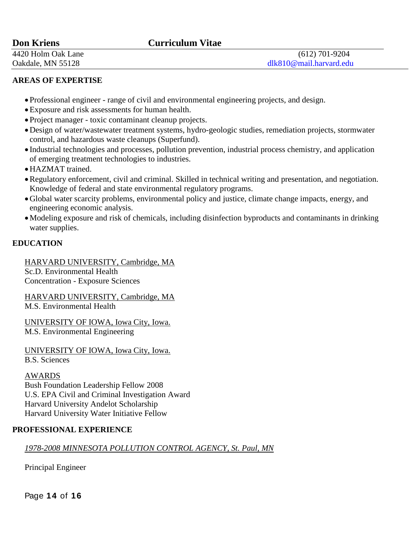# **Don Kriens Curriculum Vitae**

4420 Holm Oak Lane (612) 701-9204 Oakdale, MN 55128 dlk810@mail.harvard.edu

#### **AREAS OF EXPERTISE**

- Professional engineer range of civil and environmental engineering projects, and design.
- Exposure and risk assessments for human health.
- Project manager toxic contaminant cleanup projects.
- Design of water/wastewater treatment systems, hydro-geologic studies, remediation projects, stormwater control, and hazardous waste cleanups (Superfund).
- Industrial technologies and processes, pollution prevention, industrial process chemistry, and application of emerging treatment technologies to industries.
- HAZMAT trained.
- Regulatory enforcement, civil and criminal. Skilled in technical writing and presentation, and negotiation. Knowledge of federal and state environmental regulatory programs.
- Global water scarcity problems, environmental policy and justice, climate change impacts, energy, and engineering economic analysis.
- Modeling exposure and risk of chemicals, including disinfection byproducts and contaminants in drinking water supplies.

### **EDUCATION**

HARVARD UNIVERSITY, Cambridge, MA

Sc.D. Environmental Health Concentration - Exposure Sciences

HARVARD UNIVERSITY, Cambridge, MA M.S. Environmental Health

UNIVERSITY OF IOWA, Iowa City, Iowa. M.S. Environmental Engineering

UNIVERSITY OF IOWA, Iowa City, Iowa. B.S. Sciences

#### AWARDS

Bush Foundation Leadership Fellow 2008 U.S. EPA Civil and Criminal Investigation Award Harvard University Andelot Scholarship Harvard University Water Initiative Fellow

#### **PROFESSIONAL EXPERIENCE**

#### *1978-2008 MINNESOTA POLLUTION CONTROL AGENCY, St. Paul, MN*

Principal Engineer

Page **1 4** of **1 6**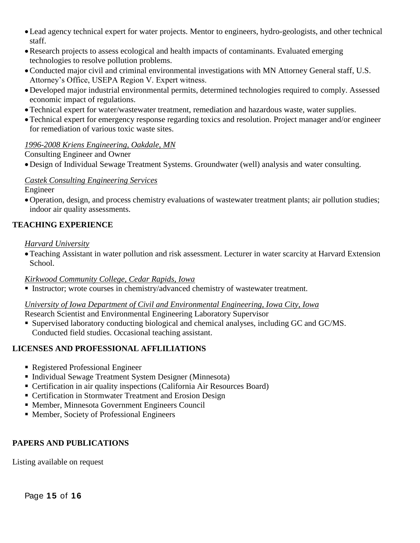- Lead agency technical expert for water projects. Mentor to engineers, hydro-geologists, and other technical staff.
- Research projects to assess ecological and health impacts of contaminants. Evaluated emerging technologies to resolve pollution problems.
- Conducted major civil and criminal environmental investigations with MN Attorney General staff, U.S. Attorney's Office, USEPA Region V. Expert witness.
- Developed major industrial environmental permits, determined technologies required to comply. Assessed economic impact of regulations.
- Technical expert for water/wastewater treatment, remediation and hazardous waste, water supplies.
- Technical expert for emergency response regarding toxics and resolution. Project manager and/or engineer for remediation of various toxic waste sites.

# *1996-2008 Kriens Engineering, Oakdale, MN*

### Consulting Engineer and Owner

Design of Individual Sewage Treatment Systems. Groundwater (well) analysis and water consulting.

### *Castek Consulting Engineering Services*

Engineer

Operation, design, and process chemistry evaluations of wastewater treatment plants; air pollution studies; indoor air quality assessments.

# **TEACHING EXPERIENCE**

### *Harvard University*

Teaching Assistant in water pollution and risk assessment. Lecturer in water scarcity at Harvard Extension School.

# *Kirkwood Community College, Cedar Rapids, Iowa*

Instructor; wrote courses in chemistry/advanced chemistry of wastewater treatment.

# *University of Iowa Department of Civil and Environmental Engineering, Iowa City, Iowa*

Research Scientist and Environmental Engineering Laboratory Supervisor

 Supervised laboratory conducting biological and chemical analyses, including GC and GC/MS. Conducted field studies. Occasional teaching assistant.

# **LICENSES AND PROFESSIONAL AFFLILIATIONS**

- Registered Professional Engineer
- Individual Sewage Treatment System Designer (Minnesota)
- Certification in air quality inspections (California Air Resources Board)
- Certification in Stormwater Treatment and Erosion Design
- Member, Minnesota Government Engineers Council
- Member, Society of Professional Engineers

# **PAPERS AND PUBLICATIONS**

Listing available on request